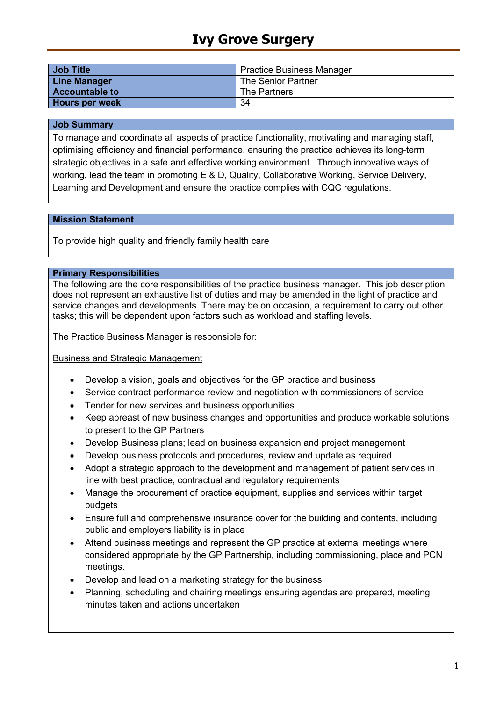# **Ivy Grove Surgery**

| <b>Job Title</b>      | <b>Practice Business Manager</b> |
|-----------------------|----------------------------------|
| <b>Line Manager</b>   | The Senior Partner               |
| <b>Accountable to</b> | The Partners                     |
| <b>Hours per week</b> | 34                               |

#### **Job Summary**

To manage and coordinate all aspects of practice functionality, motivating and managing staff, optimising efficiency and financial performance, ensuring the practice achieves its long-term strategic objectives in a safe and effective working environment. Through innovative ways of working, lead the team in promoting E & D, Quality, Collaborative Working, Service Delivery, Learning and Development and ensure the practice complies with CQC regulations.

#### **Mission Statement**

To provide high quality and friendly family health care

#### **Primary Responsibilities**

The following are the core responsibilities of the practice business manager. This job description does not represent an exhaustive list of duties and may be amended in the light of practice and service changes and developments. There may be on occasion, a requirement to carry out other tasks; this will be dependent upon factors such as workload and staffing levels.

The Practice Business Manager is responsible for:

#### Business and Strategic Management

- Develop a vision, goals and objectives for the GP practice and business
- Service contract performance review and negotiation with commissioners of service
- Tender for new services and business opportunities
- Keep abreast of new business changes and opportunities and produce workable solutions to present to the GP Partners
- Develop Business plans; lead on business expansion and project management
- Develop business protocols and procedures, review and update as required
- Adopt a strategic approach to the development and management of patient services in line with best practice, contractual and regulatory requirements
- Manage the procurement of practice equipment, supplies and services within target budgets
- Ensure full and comprehensive insurance cover for the building and contents, including public and employers liability is in place
- Attend business meetings and represent the GP practice at external meetings where considered appropriate by the GP Partnership, including commissioning, place and PCN meetings.
- Develop and lead on a marketing strategy for the business
- Planning, scheduling and chairing meetings ensuring agendas are prepared, meeting minutes taken and actions undertaken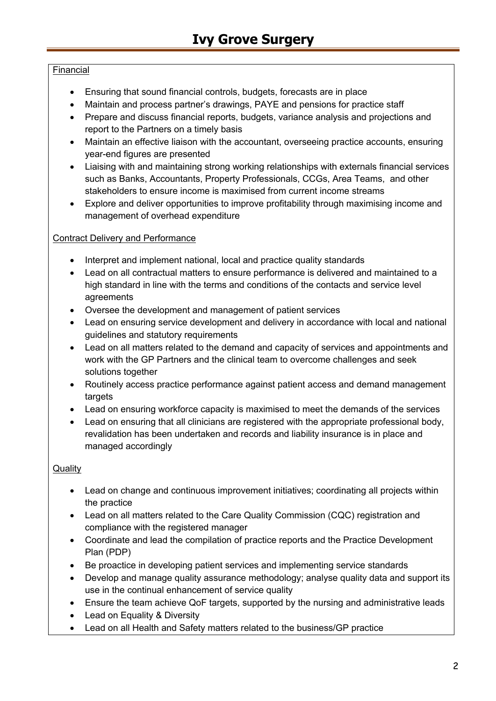# Financial

- Ensuring that sound financial controls, budgets, forecasts are in place
- Maintain and process partner's drawings, PAYE and pensions for practice staff
- Prepare and discuss financial reports, budgets, variance analysis and projections and report to the Partners on a timely basis
- Maintain an effective liaison with the accountant, overseeing practice accounts, ensuring year-end figures are presented
- Liaising with and maintaining strong working relationships with externals financial services such as Banks, Accountants, Property Professionals, CCGs, Area Teams, and other stakeholders to ensure income is maximised from current income streams
- Explore and deliver opportunities to improve profitability through maximising income and management of overhead expenditure

## Contract Delivery and Performance

- Interpret and implement national, local and practice quality standards
- Lead on all contractual matters to ensure performance is delivered and maintained to a high standard in line with the terms and conditions of the contacts and service level agreements
- Oversee the development and management of patient services
- Lead on ensuring service development and delivery in accordance with local and national guidelines and statutory requirements
- Lead on all matters related to the demand and capacity of services and appointments and work with the GP Partners and the clinical team to overcome challenges and seek solutions together
- Routinely access practice performance against patient access and demand management targets
- Lead on ensuring workforce capacity is maximised to meet the demands of the services
- Lead on ensuring that all clinicians are registered with the appropriate professional body, revalidation has been undertaken and records and liability insurance is in place and managed accordingly

### **Quality**

- Lead on change and continuous improvement initiatives; coordinating all projects within the practice
- Lead on all matters related to the Care Quality Commission (CQC) registration and compliance with the registered manager
- Coordinate and lead the compilation of practice reports and the Practice Development Plan (PDP)
- Be proactice in developing patient services and implementing service standards
- Develop and manage quality assurance methodology; analyse quality data and support its use in the continual enhancement of service quality
- Ensure the team achieve QoF targets, supported by the nursing and administrative leads
- Lead on Equality & Diversity
- Lead on all Health and Safety matters related to the business/GP practice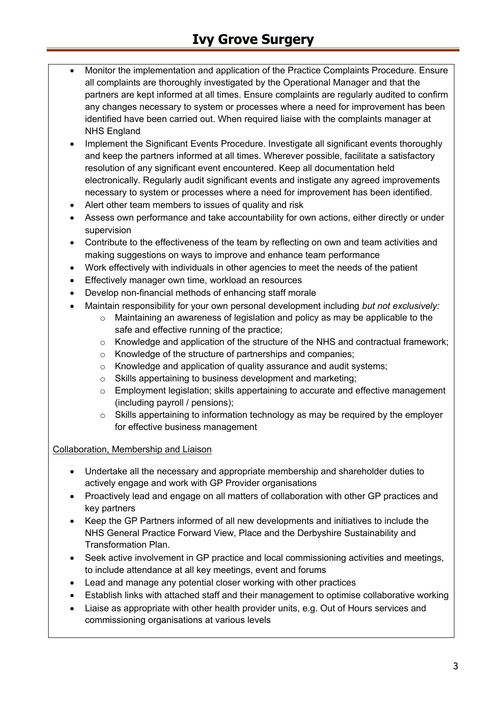# **Ivy Grove Surgery**

- Monitor the implementation and application of the Practice Complaints Procedure. Ensure all complaints are thoroughly investigated by the Operational Manager and that the partners are kept informed at all times. Ensure complaints are regularly audited to confirm any changes necessary to system or processes where a need for improvement has been identified have been carried out. When required liaise with the complaints manager at NHS England
- Implement the Significant Events Procedure. Investigate all significant events thoroughly and keep the partners informed at all times. Wherever possible, facilitate a satisfactory resolution of any significant event encountered. Keep all documentation held electronically. Regularly audit significant events and instigate any agreed improvements necessary to system or processes where a need for improvement has been identified.
- Alert other team members to issues of quality and risk
- Assess own performance and take accountability for own actions, either directly or under supervision
- Contribute to the effectiveness of the team by reflecting on own and team activities and making suggestions on ways to improve and enhance team performance
- Work effectively with individuals in other agencies to meet the needs of the patient
- Effectively manager own time, workload an resources
- Develop non-financial methods of enhancing staff morale
- Maintain responsibility for your own personal development including *but not exclusively:*
	- $\circ$  Maintaining an awareness of legislation and policy as may be applicable to the safe and effective running of the practice;
	- o Knowledge and application of the structure of the NHS and contractual framework;
	- o Knowledge of the structure of partnerships and companies;
	- o Knowledge and application of quality assurance and audit systems;
	- o Skills appertaining to business development and marketing;
	- $\circ$  Employment legislation; skills appertaining to accurate and effective management (including payroll / pensions);
	- $\circ$  Skills appertaining to information technology as may be required by the employer for effective business management

#### Collaboration, Membership and Liaison

- Undertake all the necessary and appropriate membership and shareholder duties to actively engage and work with GP Provider organisations
- Proactively lead and engage on all matters of collaboration with other GP practices and key partners
- Keep the GP Partners informed of all new developments and initiatives to include the NHS General Practice Forward View, Place and the Derbyshire Sustainability and Transformation Plan.
- Seek active involvement in GP practice and local commissioning activities and meetings, to include attendance at all key meetings, event and forums
- Lead and manage any potential closer working with other practices
- Establish links with attached staff and their management to optimise collaborative working
- Liaise as appropriate with other health provider units, e.g. Out of Hours services and commissioning organisations at various levels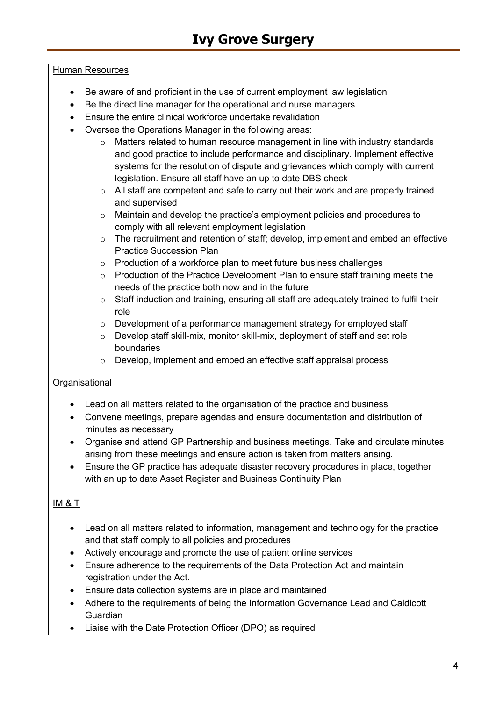### Human Resources

- Be aware of and proficient in the use of current employment law legislation
- Be the direct line manager for the operational and nurse managers
- Ensure the entire clinical workforce undertake revalidation
- Oversee the Operations Manager in the following areas:
	- $\circ$  Matters related to human resource management in line with industry standards and good practice to include performance and disciplinary. Implement effective systems for the resolution of dispute and grievances which comply with current legislation. Ensure all staff have an up to date DBS check
	- o All staff are competent and safe to carry out their work and are properly trained and supervised
	- o Maintain and develop the practice's employment policies and procedures to comply with all relevant employment legislation
	- $\circ$  The recruitment and retention of staff; develop, implement and embed an effective Practice Succession Plan
	- o Production of a workforce plan to meet future business challenges
	- $\circ$  Production of the Practice Development Plan to ensure staff training meets the needs of the practice both now and in the future
	- o Staff induction and training, ensuring all staff are adequately trained to fulfil their role
	- o Development of a performance management strategy for employed staff
	- o Develop staff skill-mix, monitor skill-mix, deployment of staff and set role boundaries
	- o Develop, implement and embed an effective staff appraisal process

# **Organisational**

- Lead on all matters related to the organisation of the practice and business
- Convene meetings, prepare agendas and ensure documentation and distribution of minutes as necessary
- Organise and attend GP Partnership and business meetings. Take and circulate minutes arising from these meetings and ensure action is taken from matters arising.
- Ensure the GP practice has adequate disaster recovery procedures in place, together with an up to date Asset Register and Business Continuity Plan

# IM & T

- Lead on all matters related to information, management and technology for the practice and that staff comply to all policies and procedures
- Actively encourage and promote the use of patient online services
- Ensure adherence to the requirements of the Data Protection Act and maintain registration under the Act.
- Ensure data collection systems are in place and maintained
- Adhere to the requirements of being the Information Governance Lead and Caldicott Guardian
- Liaise with the Date Protection Officer (DPO) as required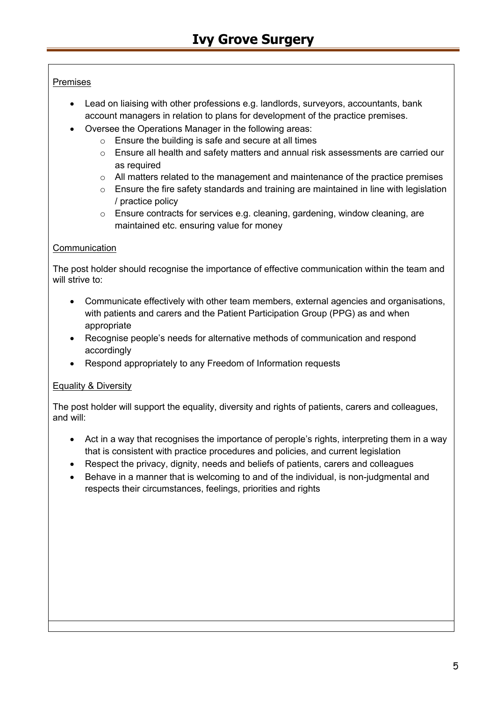## Premises

- Lead on liaising with other professions e.g. landlords, surveyors, accountants, bank account managers in relation to plans for development of the practice premises.
- Oversee the Operations Manager in the following areas:
	- o Ensure the building is safe and secure at all times
	- $\circ$  Ensure all health and safety matters and annual risk assessments are carried our as required
	- o All matters related to the management and maintenance of the practice premises
	- o Ensure the fire safety standards and training are maintained in line with legislation / practice policy
	- o Ensure contracts for services e.g. cleaning, gardening, window cleaning, are maintained etc. ensuring value for money

## **Communication**

The post holder should recognise the importance of effective communication within the team and will strive to:

- Communicate effectively with other team members, external agencies and organisations, with patients and carers and the Patient Participation Group (PPG) as and when appropriate
- Recognise people's needs for alternative methods of communication and respond accordingly
- Respond appropriately to any Freedom of Information requests

# Equality & Diversity

The post holder will support the equality, diversity and rights of patients, carers and colleagues, and will:

- Act in a way that recognises the importance of perople's rights, interpreting them in a way that is consistent with practice procedures and policies, and current legislation
- Respect the privacy, dignity, needs and beliefs of patients, carers and colleagues
- Behave in a manner that is welcoming to and of the individual, is non-judgmental and respects their circumstances, feelings, priorities and rights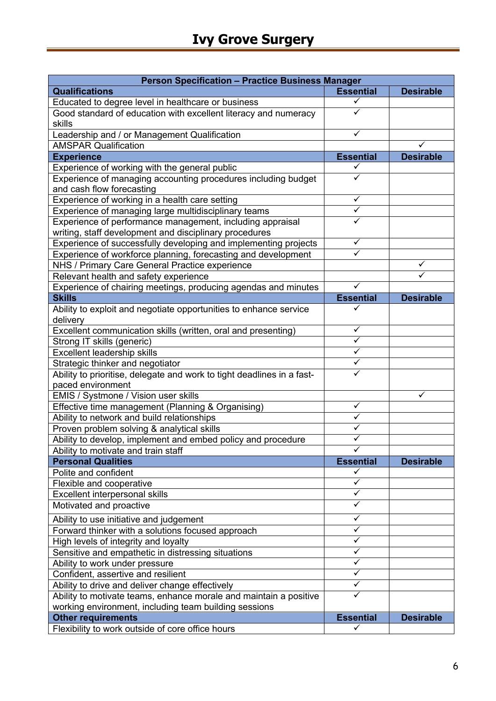| <b>Person Specification - Practice Business Manager</b>                |                  |                  |  |  |
|------------------------------------------------------------------------|------------------|------------------|--|--|
| <b>Qualifications</b>                                                  | <b>Essential</b> | <b>Desirable</b> |  |  |
| Educated to degree level in healthcare or business                     | ✓                |                  |  |  |
| Good standard of education with excellent literacy and numeracy        |                  |                  |  |  |
| skills                                                                 |                  |                  |  |  |
| Leadership and / or Management Qualification                           | ✓                |                  |  |  |
| <b>AMSPAR Qualification</b>                                            |                  |                  |  |  |
| <b>Experience</b>                                                      | <b>Essential</b> | <b>Desirable</b> |  |  |
| Experience of working with the general public                          |                  |                  |  |  |
| Experience of managing accounting procedures including budget          | ✓                |                  |  |  |
| and cash flow forecasting                                              |                  |                  |  |  |
| Experience of working in a health care setting                         | ✓                |                  |  |  |
| Experience of managing large multidisciplinary teams                   | ✓                |                  |  |  |
| Experience of performance management, including appraisal              |                  |                  |  |  |
| writing, staff development and disciplinary procedures                 |                  |                  |  |  |
| Experience of successfully developing and implementing projects        | ✓                |                  |  |  |
| Experience of workforce planning, forecasting and development          |                  |                  |  |  |
| NHS / Primary Care General Practice experience                         |                  | ✓                |  |  |
| Relevant health and safety experience                                  |                  |                  |  |  |
| Experience of chairing meetings, producing agendas and minutes         | ✓                |                  |  |  |
| <b>Skills</b>                                                          | <b>Essential</b> | <b>Desirable</b> |  |  |
| Ability to exploit and negotiate opportunities to enhance service      |                  |                  |  |  |
| delivery                                                               |                  |                  |  |  |
| Excellent communication skills (written, oral and presenting)          | ✓                |                  |  |  |
| Strong IT skills (generic)                                             | $\checkmark$     |                  |  |  |
| <b>Excellent leadership skills</b>                                     | ✓                |                  |  |  |
| Strategic thinker and negotiator                                       | ✓                |                  |  |  |
| Ability to prioritise, delegate and work to tight deadlines in a fast- |                  |                  |  |  |
| paced environment                                                      |                  |                  |  |  |
| EMIS / Systmone / Vision user skills                                   |                  | ✓                |  |  |
| Effective time management (Planning & Organising)                      | $\checkmark$     |                  |  |  |
| Ability to network and build relationships                             | ✓                |                  |  |  |
| Proven problem solving & analytical skills                             |                  |                  |  |  |
| Ability to develop, implement and embed policy and procedure           |                  |                  |  |  |
| Ability to motivate and train staff                                    | ✓                |                  |  |  |
| <b>Personal Qualities</b>                                              | <b>Essential</b> | <b>Desirable</b> |  |  |
| Polite and confident                                                   | ✓                |                  |  |  |
| Flexible and cooperative                                               | ✓                |                  |  |  |
| <b>Excellent interpersonal skills</b>                                  | ✓                |                  |  |  |
| Motivated and proactive                                                | ✓                |                  |  |  |
| Ability to use initiative and judgement                                | ✓                |                  |  |  |
| Forward thinker with a solutions focused approach                      | ✓                |                  |  |  |
| High levels of integrity and loyalty                                   | $\checkmark$     |                  |  |  |
| Sensitive and empathetic in distressing situations                     | ✓                |                  |  |  |
| Ability to work under pressure                                         | ✓                |                  |  |  |
| Confident, assertive and resilient                                     | ✓                |                  |  |  |
| Ability to drive and deliver change effectively                        | ✓                |                  |  |  |
| Ability to motivate teams, enhance morale and maintain a positive      | ✓                |                  |  |  |
| working environment, including team building sessions                  |                  |                  |  |  |
| <b>Other requirements</b>                                              | <b>Essential</b> | <b>Desirable</b> |  |  |
| Flexibility to work outside of core office hours                       | ✓                |                  |  |  |